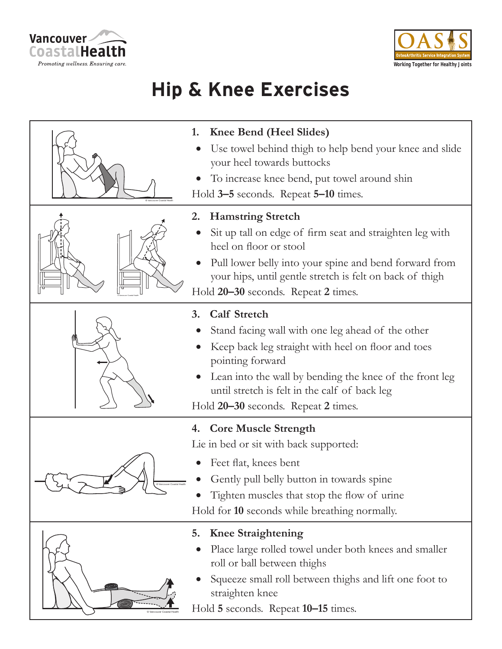



## **Hip & Knee Exercises**